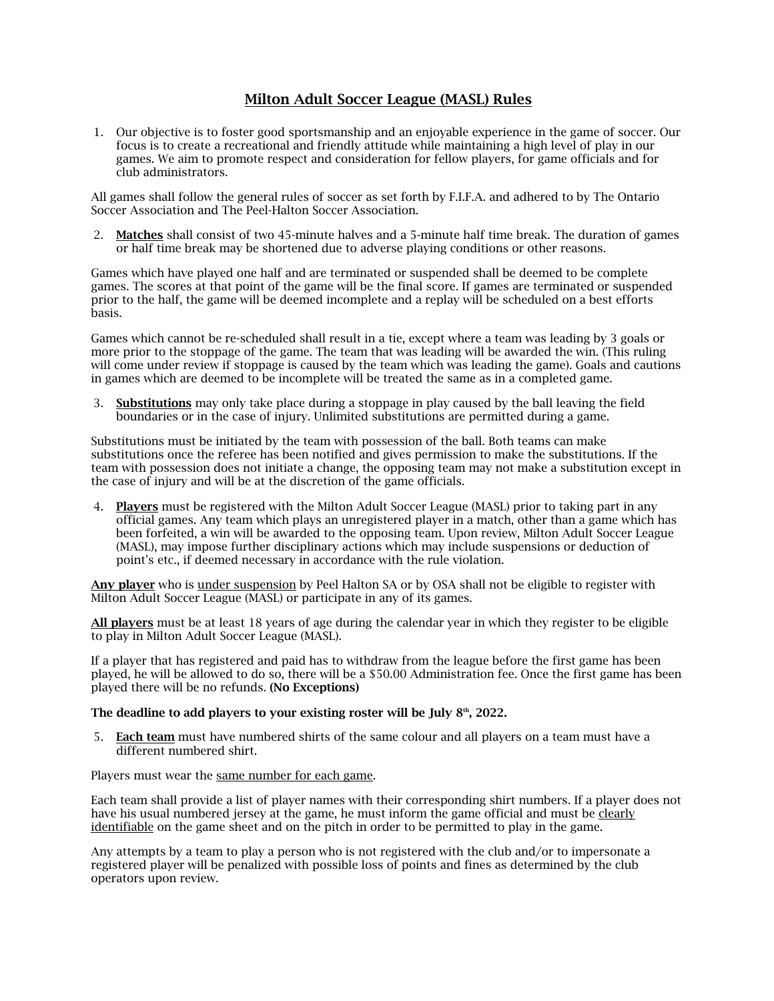## Milton Adult Soccer League (MASL) Rules

1. Our objective is to foster good sportsmanship and an enjoyable experience in the game of soccer. Our focus is to create a recreational and friendly attitude while maintaining a high level of play in our games. We aim to promote respect and consideration for fellow players, for game officials and for club administrators.

All games shall follow the general rules of soccer as set forth by F.I.F.A. and adhered to by The Ontario Soccer Association and The Peel-Halton Soccer Association.

2. Matches shall consist of two 45-minute halves and a 5-minute half time break. The duration of games or half time break may be shortened due to adverse playing conditions or other reasons.

Games which have played one half and are terminated or suspended shall be deemed to be complete games. The scores at that point of the game will be the final score. If games are terminated or suspended prior to the half, the game will be deemed incomplete and a replay will be scheduled on a best efforts basis.

Games which cannot be re-scheduled shall result in a tie, except where a team was leading by 3 goals or more prior to the stoppage of the game. The team that was leading will be awarded the win. (This ruling will come under review if stoppage is caused by the team which was leading the game). Goals and cautions in games which are deemed to be incomplete will be treated the same as in a completed game.

3. Substitutions may only take place during a stoppage in play caused by the ball leaving the field boundaries or in the case of injury. Unlimited substitutions are permitted during a game.

Substitutions must be initiated by the team with possession of the ball. Both teams can make substitutions once the referee has been notified and gives permission to make the substitutions. If the team with possession does not initiate a change, the opposing team may not make a substitution except in the case of injury and will be at the discretion of the game officials.

4. Players must be registered with the Milton Adult Soccer League (MASL) prior to taking part in any official games. Any team which plays an unregistered player in a match, other than a game which has been forfeited, a win will be awarded to the opposing team. Upon review, Milton Adult Soccer League (MASL), may impose further disciplinary actions which may include suspensions or deduction of point's etc., if deemed necessary in accordance with the rule violation.

Any player who is under suspension by Peel Halton SA or by OSA shall not be eligible to register with Milton Adult Soccer League (MASL) or participate in any of its games.

All players must be at least 18 years of age during the calendar year in which they register to be eligible to play in Milton Adult Soccer League (MASL).

If a player that has registered and paid has to withdraw from the league before the first game has been played, he will be allowed to do so, there will be a \$50.00 Administration fee. Once the first game has been played there will be no refunds. (No Exceptions)

## The deadline to add players to your existing roster will be July  $8<sup>th</sup>$ , 2022.

5. Each team must have numbered shirts of the same colour and all players on a team must have a different numbered shirt.

Players must wear the same number for each game.

Each team shall provide a list of player names with their corresponding shirt numbers. If a player does not have his usual numbered jersey at the game, he must inform the game official and must be clearly identifiable on the game sheet and on the pitch in order to be permitted to play in the game.

Any attempts by a team to play a person who is not registered with the club and/or to impersonate a registered player will be penalized with possible loss of points and fines as determined by the club operators upon review.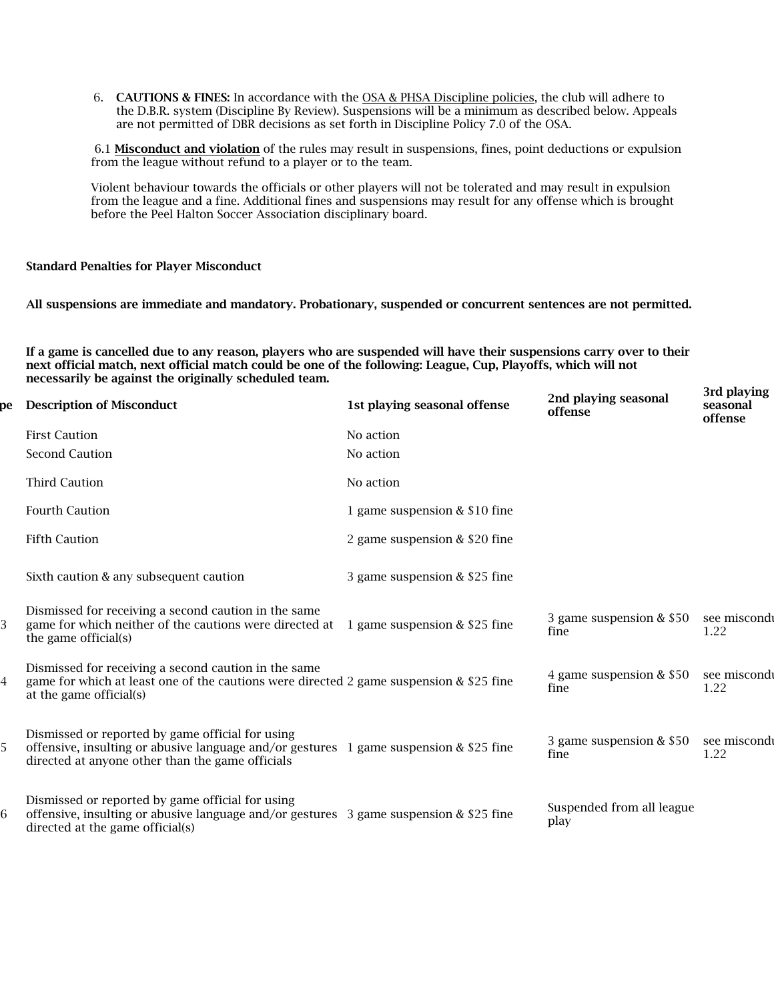6. CAUTIONS & FINES: In accordance with the OSA & PHSA Discipline policies, the club will adhere to the D.B.R. system (Discipline By Review). Suspensions will be a minimum as described below. Appeals are not permitted of DBR decisions as set forth in Discipline Policy 7.0 of the OSA.

6.1 Misconduct and violation of the rules may result in suspensions, fines, point deductions or expulsion from the league without refund to a player or to the team.

Violent behaviour towards the officials or other players will not be tolerated and may result in expulsion from the league and a fine. Additional fines and suspensions may result for any offense which is brought before the Peel Halton Soccer Association disciplinary board.

## Standard Penalties for Player Misconduct

All suspensions are immediate and mandatory. Probationary, suspended or concurrent sentences are not permitted.

If a game is cancelled due to any reason, players who are suspended will have their suspensions carry over to their next official match, next official match could be one of the following: League, Cup, Playoffs, which will not necessarily be against the originally scheduled team.

3rd playing

| рe | <b>Description of Misconduct</b>                                                                                                                                                                 | 1st playing seasonal offense  | 2nd playing seasonal<br>offense   | ли рмуш<br>seasonal<br>offense |
|----|--------------------------------------------------------------------------------------------------------------------------------------------------------------------------------------------------|-------------------------------|-----------------------------------|--------------------------------|
|    | <b>First Caution</b>                                                                                                                                                                             | No action                     |                                   |                                |
|    | <b>Second Caution</b>                                                                                                                                                                            | No action                     |                                   |                                |
|    | <b>Third Caution</b>                                                                                                                                                                             | No action                     |                                   |                                |
|    | <b>Fourth Caution</b>                                                                                                                                                                            | 1 game suspension & \$10 fine |                                   |                                |
|    | <b>Fifth Caution</b>                                                                                                                                                                             | 2 game suspension & \$20 fine |                                   |                                |
|    | Sixth caution & any subsequent caution                                                                                                                                                           | 3 game suspension & \$25 fine |                                   |                                |
| 3  | Dismissed for receiving a second caution in the same<br>game for which neither of the cautions were directed at 1 game suspension & \$25 fine<br>the game official(s)                            |                               | 3 game suspension & \$50<br>fine  | see miscondi<br>1.22           |
| 4  | Dismissed for receiving a second caution in the same<br>game for which at least one of the cautions were directed 2 game suspension & \$25 fine<br>at the game official(s)                       |                               | 4 game suspension & \$50<br>fine  | see miscondi<br>1.22           |
| 5  | Dismissed or reported by game official for using<br>offensive, insulting or abusive language and/or gestures 1 game suspension $&$ \$25 fine<br>directed at anyone other than the game officials |                               | 3 game suspension & \$50<br>fine  | see miscondi<br>1.22           |
| 6  | Dismissed or reported by game official for using<br>offensive, insulting or abusive language and/or gestures $\frac{3}{2}$ game suspension & \$25 fine<br>directed at the game official(s)       |                               | Suspended from all league<br>play |                                |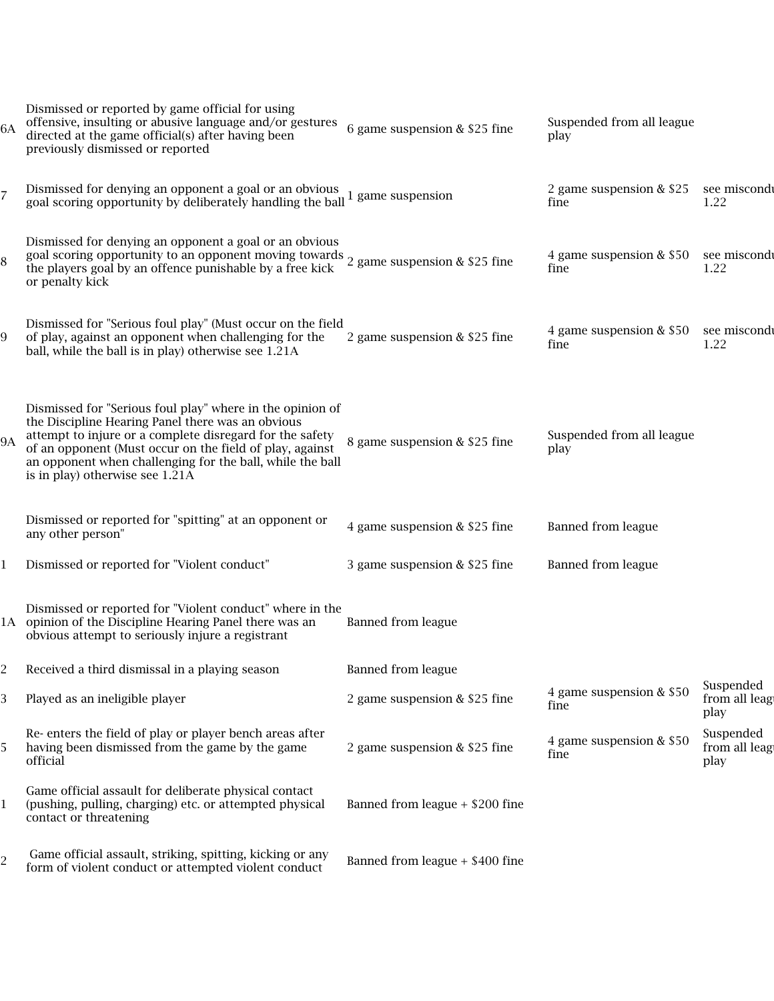| 6A             | Dismissed or reported by game official for using<br>offensive, insulting or abusive language and/or gestures<br>directed at the game official(s) after having been<br>previously dismissed or reported                                                                                                                                 | 6 game suspension & \$25 fine     | Suspended from all league<br>play |                                    |
|----------------|----------------------------------------------------------------------------------------------------------------------------------------------------------------------------------------------------------------------------------------------------------------------------------------------------------------------------------------|-----------------------------------|-----------------------------------|------------------------------------|
| $\overline{7}$ | Dismissed for denying an opponent a goal or an obvious 1 game suspension<br>goal scoring opportunity by deliberately handling the ball 1 game suspension                                                                                                                                                                               |                                   | 2 game suspension & \$25<br>fine  | see miscond<br>1.22                |
| 8              | Dismissed for denying an opponent a goal or an obvious<br>goal scoring opportunity to an opponent moving towards 2 game suspension & \$25 fine the players goal by an offence punishable by a free kick<br>or penalty kick                                                                                                             |                                   | 4 game suspension & \$50<br>fine  | see miscondi<br>1.22               |
| 9              | Dismissed for "Serious foul play" (Must occur on the field<br>of play, against an opponent when challenging for the<br>ball, while the ball is in play) otherwise see 1.21A                                                                                                                                                            | 2 game suspension & \$25 fine     | 4 game suspension & \$50<br>fine  | see miscondi<br>1.22               |
| <b>9A</b>      | Dismissed for "Serious foul play" where in the opinion of<br>the Discipline Hearing Panel there was an obvious<br>attempt to injure or a complete disregard for the safety<br>of an opponent (Must occur on the field of play, against<br>an opponent when challenging for the ball, while the ball<br>is in play) otherwise see 1.21A | 8 game suspension & \$25 fine     | Suspended from all league<br>play |                                    |
|                | Dismissed or reported for "spitting" at an opponent or<br>any other person"                                                                                                                                                                                                                                                            | 4 game suspension & \$25 fine     | <b>Banned from league</b>         |                                    |
| $\mathbf{1}$   | Dismissed or reported for "Violent conduct"                                                                                                                                                                                                                                                                                            | 3 game suspension & \$25 fine     | <b>Banned from league</b>         |                                    |
|                | Dismissed or reported for "Violent conduct" where in the<br>1A opinion of the Discipline Hearing Panel there was an<br>obvious attempt to seriously injure a registrant                                                                                                                                                                | <b>Banned from league</b>         |                                   |                                    |
| 2              | Received a third dismissal in a playing season                                                                                                                                                                                                                                                                                         | <b>Banned from league</b>         |                                   |                                    |
| 3              | Played as an ineligible player                                                                                                                                                                                                                                                                                                         | 2 game suspension & \$25 fine     | 4 game suspension & \$50<br>fine  | Suspended<br>from all leag<br>play |
| 5              | Re- enters the field of play or player bench areas after<br>having been dismissed from the game by the game<br>official                                                                                                                                                                                                                | 2 game suspension & \$25 fine     | 4 game suspension & \$50<br>fine  | Suspended<br>from all leag<br>play |
| $\mathbf{1}$   | Game official assault for deliberate physical contact<br>(pushing, pulling, charging) etc. or attempted physical<br>contact or threatening                                                                                                                                                                                             | Banned from league $+$ \$200 fine |                                   |                                    |
| 2              | Game official assault, striking, spitting, kicking or any<br>form of violent conduct or attempted violent conduct                                                                                                                                                                                                                      | Banned from league $+$ \$400 fine |                                   |                                    |